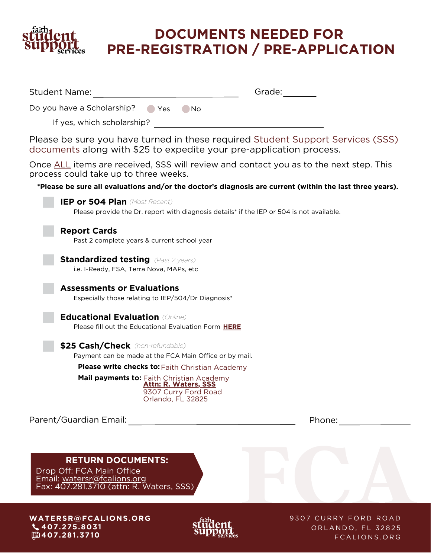

Student Name:

# **DOCUMENTS NEEDED FOR PRE-REGISTRATION / PRE-APPLICATION**

Grade:

| Do you have a Scholarship?<br>Yes<br>No.                                                                                                               |
|--------------------------------------------------------------------------------------------------------------------------------------------------------|
| If yes, which scholarship?                                                                                                                             |
| Please be sure you have turned in these required Student Support Services (SSS)<br>documents along with \$25 to expedite your pre-application process. |
| Once ALL items are received, SSS will review and contact you as to the next step. This<br>process could take up to three weeks.                        |
| *Please be sure all evaluations and/or the doctor's diagnosis are current (within the last three years).                                               |
| IEP or 504 Plan (Most Recent)<br>Please provide the Dr. report with diagnosis details* if the IEP or 504 is not available.                             |
| <b>Report Cards</b><br>Past 2 complete years & current school year                                                                                     |
| <b>Standardized testing</b> (Past 2 years)<br>i.e. I-Ready, FSA, Terra Nova, MAPs, etc                                                                 |
| <b>Assessments or Evaluations</b><br>Especially those relating to IEP/504/Dr Diagnosis*                                                                |
| <b>Educational Evaluation (Online)</b><br>Please fill out the Educational Evaluation Form HERE                                                         |
| \$25 Cash/Check (non-refundable)                                                                                                                       |
| Payment can be made at the FCA Main Office or by mail.                                                                                                 |
| <b>Please write checks to: Faith Christian Academy</b>                                                                                                 |
| Mail payments to: Faith Christian Academy<br><u>Attn: R. Waters, SSS</u><br>9307 Curry Ford Road<br>Orlando, FL 32825                                  |
| Parent/Guardian Email:<br>Phone:                                                                                                                       |
| <b>RETURN DOCUMENTS:</b><br>Drop Off: FCA Main Office<br>Email: watersr@fcalions.org<br>Fax: 407.281.3710 (attn: R. Waters, SSS)                       |
| WATERSR@FCALIONS.ORG<br>9307 CURRY FORD ROAD<br>$\frac{1}{2}$                                                                                          |

**WA T E R S R @ F C A LIONS.ORG 4 0 7 . 2 7 5 . 8 0 3 1 4 0 7 .2 8 1 . 3 7 1 0**



9307 CURRY FORD ROAD ORLANDO, FL 32825 F C A L I O N S . O R G